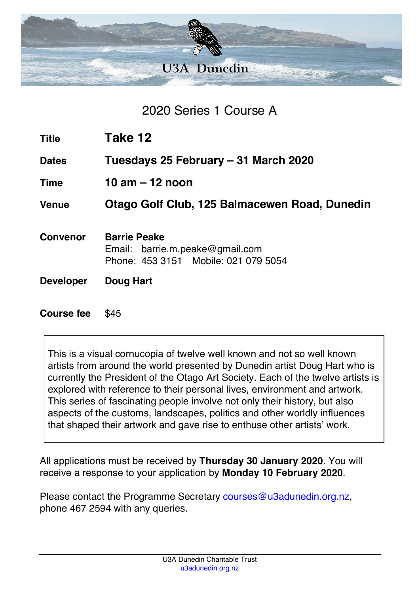

2020 Series 1 Course A

**Title Take 12**

**Dates Tuesdays 25 February – 31 March 2020**

**Time 10 am – 12 noon**

**Venue Otago Golf Club, 125 Balmacewen Road, Dunedin**

- **Convenor Barrie Peake** Email: barrie.m.peake@gmail.com Phone: 453 3151 Mobile: 021 079 5054
- **Developer Doug Hart**

**Course fee** \$45

This is a visual cornucopia of twelve well known and not so well known artists from around the world presented by Dunedin artist Doug Hart who is currently the President of the Otago Art Society. Each of the twelve artists is explored with reference to their personal lives, environment and artwork. This series of fascinating people involve not only their history, but also aspects of the customs, landscapes, politics and other worldly influences that shaped their artwork and gave rise to enthuse other artists' work.

All applications must be received by **Thursday 30 January 2020**. You will receive a response to your application by **Monday 10 February 2020**.

Please contact the Programme Secretary courses@u3adunedin.org.nz, phone 467 2594 with any queries.